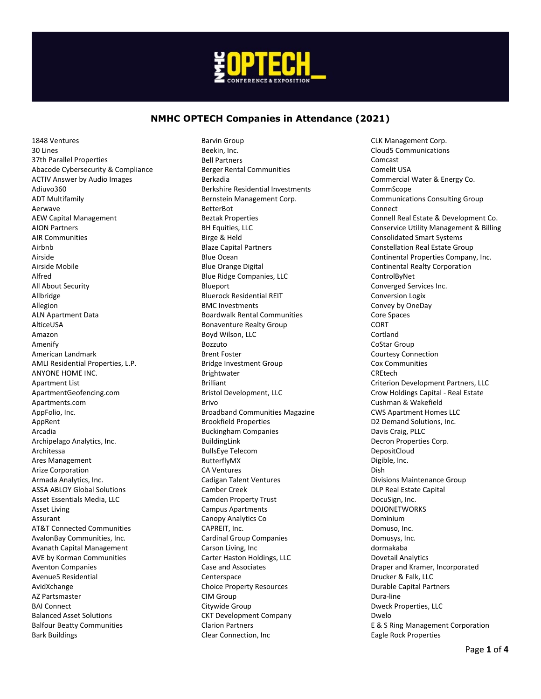

1848 Ventures 30 Lines 37th Parallel Properties Abacode Cybersecurity & Compliance ACTIV Answer by Audio Images Adiuvo360 ADT Multifamily Aerwave AEW Capital Management AION Partners AIR Communities Airbnb Airside Airside Mobile Alfred All About Security Allbridge Allegion ALN Apartment Data AlticeUSA Amazon Amenify American Landmark AMLI Residential Properties, L.P. ANYONE HOME INC. Apartment List ApartmentGeofencing.com Apartments.com AppFolio, Inc. AppRent Arcadia Archipelago Analytics, Inc. Architessa Ares Management Arize Corporation Armada Analytics, Inc. ASSA ABLOY Global Solutions Asset Essentials Media, LLC Asset Living Assurant AT&T Connected Communities AvalonBay Communities, Inc. Avanath Capital Management AVE by Korman Communities Aventon Companies Avenue5 Residential AvidXchange AZ Partsmaster BAI Connect Balanced Asset Solutions Balfour Beatty Communities Bark Buildings

Barvin Group Beekin, Inc. Bell Partners Berger Rental Communities Berkadia Berkshire Residential Investments Bernstein Management Corp. BetterBot Beztak Properties BH Equities, LLC Birge & Held Blaze Capital Partners Blue Ocean Blue Orange Digital Blue Ridge Companies, LLC Blueport Bluerock Residential REIT BMC Investments Boardwalk Rental Communities Bonaventure Realty Group Boyd Wilson, LLC Bozzuto Brent Foster Bridge Investment Group Brightwater Brilliant Bristol Development, LLC Brivo Broadband Communities Magazine Brookfield Properties Buckingham Companies BuildingLink BullsEye Telecom ButterflyMX CA Ventures Cadigan Talent Ventures Camber Creek Camden Property Trust Campus Apartments Canopy Analytics Co CAPREIT, Inc. Cardinal Group Companies Carson Living, Inc Carter Haston Holdings, LLC Case and Associates Centerspace Choice Property Resources CIM Group Citywide Group CKT Development Company Clarion Partners Clear Connection, Inc

CLK Management Corp. Cloud5 Communications Comcast Comelit USA Commercial Water & Energy Co. CommScope Communications Consulting Group Connect Connell Real Estate & Development Co. Conservice Utility Management & Billing Consolidated Smart Systems Constellation Real Estate Group Continental Properties Company, Inc. Continental Realty Corporation ControlByNet Converged Services Inc. Conversion Logix Convey by OneDay Core Spaces CORT Cortland CoStar Group Courtesy Connection Cox Communities CREtech Criterion Development Partners, LLC Crow Holdings Capital - Real Estate Cushman & Wakefield CWS Apartment Homes LLC D2 Demand Solutions, Inc. Davis Craig, PLLC Decron Properties Corp. DepositCloud Digible, Inc. Dish Divisions Maintenance Group DLP Real Estate Capital DocuSign, Inc. DOJONETWORKS Dominium Domuso, Inc. Domusys, Inc. dormakaba Dovetail Analytics Draper and Kramer, Incorporated Drucker & Falk, LLC Durable Capital Partners Dura-line Dweck Properties, LLC Dwelo E & S Ring Management Corporation Eagle Rock Properties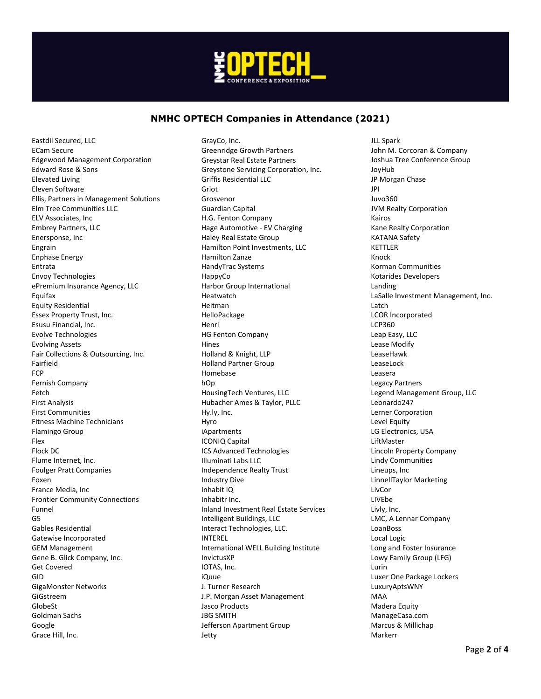

Eastdil Secured, LLC ECam Secure Edgewood Management Corporation Edward Rose & Sons Elevated Living Eleven Software Ellis, Partners in Management Solutions Elm Tree Communities LLC ELV Associates, Inc Embrey Partners, LLC Enersponse, Inc Engrain Enphase Energy Entrata Envoy Technologies ePremium Insurance Agency, LLC Equifax Equity Residential Essex Property Trust, Inc. Esusu Financial, Inc. Evolve Technologies Evolving Assets Fair Collections & Outsourcing, Inc. Fairfield **FCP** Fernish Company Fetch First Analysis First Communities Fitness Machine Technicians Flamingo Group Flex Flock DC Flume Internet, Inc. Foulger Pratt Companies Foxen France Media, Inc Frontier Community Connections Funnel G5 Gables Residential Gatewise Incorporated GEM Management Gene B. Glick Company, Inc. Get Covered GID GigaMonster Networks GiGstreem GlobeSt Goldman Sachs Google Grace Hill, Inc.

GrayCo, Inc. Greenridge Growth Partners Greystar Real Estate Partners Greystone Servicing Corporation, Inc. Griffis Residential LLC Griot Grosvenor Guardian Capital H.G. Fenton Company Hage Automotive - EV Charging Haley Real Estate Group Hamilton Point Investments, LLC Hamilton Zanze HandyTrac Systems HappyCo Harbor Group International Heatwatch Heitman HelloPackage Henri HG Fenton Company Hines Holland & Knight, LLP Holland Partner Group Homebase hOp HousingTech Ventures, LLC Hubacher Ames & Taylor, PLLC Hy.ly, Inc. Hyro iApartments ICONIQ Capital ICS Advanced Technologies Illuminati Labs LLC Independence Realty Trust Industry Dive Inhabit IQ Inhabitr Inc. Inland Investment Real Estate Services Intelligent Buildings, LLC Interact Technologies, LLC. INTEREL International WELL Building Institute InvictusXP IOTAS, Inc. iQuue J. Turner Research J.P. Morgan Asset Management Jasco Products JBG SMITH Jefferson Apartment Group Jetty

JLL Spark John M. Corcoran & Company Joshua Tree Conference Group JoyHub JP Morgan Chase JPI Juvo360 JVM Realty Corporation Kairos Kane Realty Corporation KATANA Safety KETTLER Knock Korman Communities Kotarides Developers Landing LaSalle Investment Management, Inc. **Latch** LCOR Incorporated LCP360 Leap Easy, LLC Lease Modify LeaseHawk LeaseLock Leasera Legacy Partners Legend Management Group, LLC Leonardo247 Lerner Corporation Level Equity LG Electronics, USA LiftMaster Lincoln Property Company Lindy Communities Lineups, Inc LinnellTaylor Marketing LivCor LIVEbe Livly, Inc. LMC, A Lennar Company LoanBoss Local Logic Long and Foster Insurance Lowy Family Group (LFG) Lurin Luxer One Package Lockers LuxuryAptsWNY MAA Madera Equity ManageCasa.com Marcus & Millichap Markerr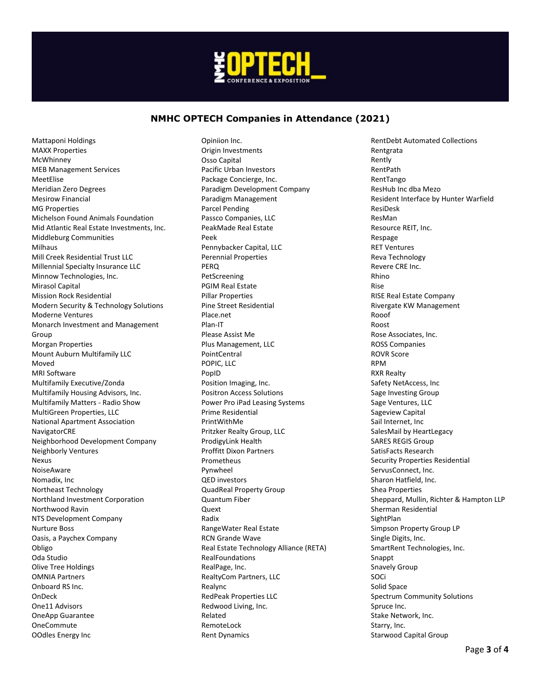

Opiniion Inc.

Mattaponi Holdings MAXX Properties McWhinney MEB Management Services MeetElise Meridian Zero Degrees Mesirow Financial MG Properties Michelson Found Animals Foundation Mid Atlantic Real Estate Investments, Inc. Middleburg Communities Milhaus Mill Creek Residential Trust LLC Millennial Specialty Insurance LLC Minnow Technologies, Inc. Mirasol Capital Mission Rock Residential Modern Security & Technology Solutions Moderne Ventures Monarch Investment and Management Group Morgan Properties Mount Auburn Multifamily LLC Moved MRI Software Multifamily Executive/Zonda Multifamily Housing Advisors, Inc. Multifamily Matters - Radio Show MultiGreen Properties, LLC National Apartment Association **NavigatorCRE** Neighborhood Development Company Neighborly Ventures Nexus NoiseAware Nomadix, Inc Northeast Technology Northland Investment Corporation Northwood Ravin NTS Development Company Nurture Boss Oasis, a Paychex Company Obligo Oda Studio Olive Tree Holdings OMNIA Partners Onboard RS Inc. OnDeck One11 Advisors OneApp Guarantee OneCommute OOdles Energy Inc

Origin Investments Osso Capital Pacific Urban Investors Package Concierge, Inc. Paradigm Development Company Paradigm Management Parcel Pending Passco Companies, LLC PeakMade Real Estate Peek Pennybacker Capital, LLC Perennial Properties PERQ PetScreening PGIM Real Estate Pillar Properties Pine Street Residential Place.net Plan-IT Please Assist Me Plus Management, LLC PointCentral POPIC, LLC PopID Position Imaging, Inc. Positron Access Solutions Power Pro iPad Leasing Systems Prime Residential PrintWithMe Pritzker Realty Group, LLC ProdigyLink Health Proffitt Dixon Partners Prometheus Pynwheel QED investors QuadReal Property Group Quantum Fiber Quext Radix RangeWater Real Estate RCN Grande Wave Real Estate Technology Alliance (RETA) RealFoundations RealPage, Inc. RealtyCom Partners, LLC Realync RedPeak Properties LLC Redwood Living, Inc. Related RemoteLock Rent Dynamics

RentDebt Automated Collections Rentgrata Rently RentPath RentTango ResHub Inc dba Mezo Resident Interface by Hunter Warfield ResiDesk ResMan Resource REIT, Inc. Respage RET Ventures Reva Technology Revere CRE Inc. Rhino Rise RISE Real Estate Company Rivergate KW Management Rooof Roost Rose Associates, Inc. ROSS Companies ROVR Score RPM RXR Realty Safety NetAccess, Inc Sage Investing Group Sage Ventures, LLC Sageview Capital Sail Internet, Inc SalesMail by HeartLegacy SARES REGIS Group SatisFacts Research Security Properties Residential ServusConnect, Inc. Sharon Hatfield, Inc. Shea Properties Sheppard, Mullin, Richter & Hampton LLP Sherman Residential **SightPlan** Simpson Property Group LP Single Digits, Inc. SmartRent Technologies, Inc. Snappt Snavely Group SOCi Solid Space Spectrum Community Solutions Spruce Inc. Stake Network, Inc. Starry, Inc. Starwood Capital Group